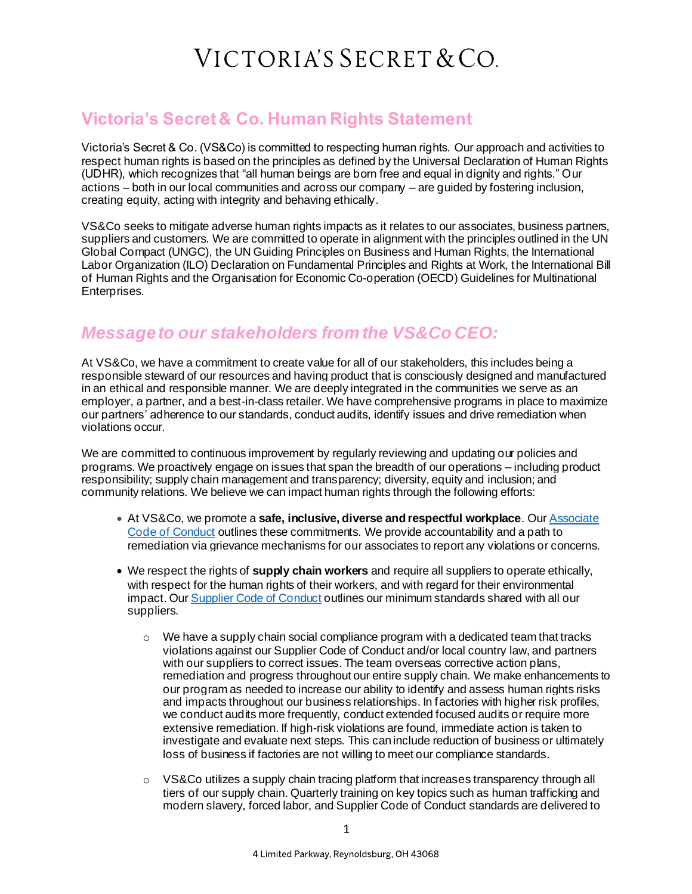### VICTORIA'S SECRET & CO.

#### **Victoria's Secret & Co. Human Rights Statement**

Victoria's Secret & Co. (VS&Co) is committed to respecting human rights. Our approach and activities to respect human rights is based on the principles as defined by the Universal Declaration of Human Rights (UDHR), which recognizes that "all human beings are born free and equal in dignity and rights." Our actions – both in our local communities and across our company – are guided by fostering inclusion, creating equity, acting with integrity and behaving ethically.

VS&Co seeks to mitigate adverse human rights impacts as it relates to our associates, business partners, suppliers and customers. We are committed to operate in alignment with the principles outlined in the UN Global Compact (UNGC), the UN Guiding Principles on Business and Human Rights, the International Labor Organization (ILO) Declaration on Fundamental Principles and Rights at Work, the International Bill of Human Rights and the Organisation for Economic Co-operation (OECD) Guidelines for Multinational Enterprises.

### *Message to our stakeholders from the VS&Co CEO:*

At VS&Co, we have a commitment to create value for all of our stakeholders, this includes being a responsible steward of our resources and having product that is consciously designed and manufactured in an ethical and responsible manner. We are deeply integrated in the communities we serve as an employer, a partner, and a best-in-class retailer. We have comprehensive programs in place to maximize our partners' adherence to our standards, conduct audits, identify issues and drive remediation when violations occur.

We are committed to continuous improvement by regularly reviewing and updating our policies and programs. We proactively engage on issues that span the breadth of our operations – including product responsibility; supply chain management and transparency; diversity, equity and inclusion; and community relations. We believe we can impact human rights through the following efforts:

- At VS&Co, we promote a **safe, inclusive, diverse and respectful workplace**. Ou[r Associate](https://www.victoriassecretandco.com/our-company/associates/our-code-of-conduct/letter-from-the-chairman)  [Code of Conduct](https://www.victoriassecretandco.com/our-company/associates/our-code-of-conduct/letter-from-the-chairman) outlines these commitments. We provide accountability and a path to remediation via grievance mechanisms for our associates to report any violations or concerns.
- We respect the rights of **supply chain workers** and require all suppliers to operate ethically, with respect for the human rights of their workers, and with regard for their environmental impact. Our [Supplier Code of Conduct](https://www.victoriassecretandco.com/corporate-responsibility/supply-chain/code-of-conduct-for-suppliers) outlines our minimum standards shared with all our suppliers.
	- $\circ$  We have a supply chain social compliance program with a dedicated team that tracks violations against our Supplier Code of Conduct and/or local country law, and partners with our suppliers to correct issues. The team overseas corrective action plans, remediation and progress throughout our entire supply chain. We make enhancements to our program as needed to increase our ability to identify and assess human rights risks and impacts throughout our business relationships. In factories with higher risk profiles, we conduct audits more frequently, conduct extended focused audits or require more extensive remediation. If high-risk violations are found, immediate action is taken to investigate and evaluate next steps. This can include reduction of business or ultimately loss of business if factories are not willing to meet our compliance standards.
	- $\circ$  VS&Co utilizes a supply chain tracing platform that increases transparency through all tiers of our supply chain. Quarterly training on key topics such as human trafficking and modern slavery, forced labor, and Supplier Code of Conduct standards are delivered to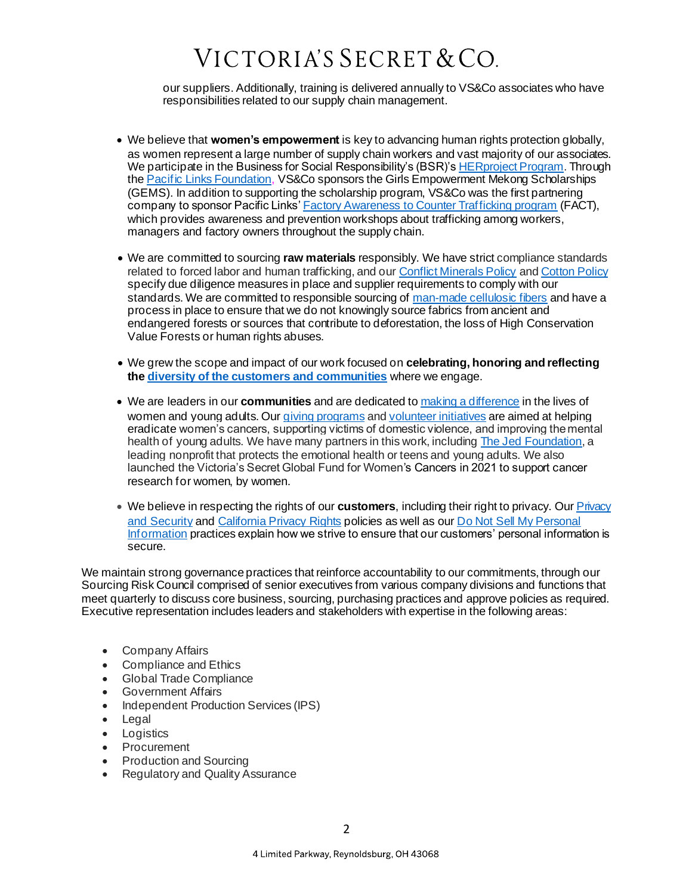# VICTORIA'S SECRET & CO.

our suppliers. Additionally, training is delivered annually to VS&Co associates who have responsibilities related to our supply chain management.

- We believe that **women's empowerment** is key to advancing human rights protection globally, as women represent a large number of supply chain workers and vast majority of our associates. We participate in the Business for Social Responsibility's (BSR)'[s HERproject Program](https://herproject.org/). Through th[e Pacific Links Foundation](https://www.victoriassecretandco.com/corporate-responsibility/supply-chain/featured-partnerships/pacific-links-combating-human-trafficking), VS&Co sponsors the Girls Empowerment Mekong Scholarships (GEMS). In addition to supporting the scholarship program, VS&Co was the first partnering company to sponsor Pacific Links' [Factory Awareness to Counter Trafficking program](http://www.pacificlinks.org/fact) (FACT), which provides awareness and prevention workshops about trafficking among workers, managers and factory owners throughout the supply chain.
- We are committed to sourcing **raw materials** responsibly. We have strict compliance standards related to forced labor and human trafficking, and ou[r Conflict Minerals Policy](https://www.victoriassecretandco.com/corporate-responsibility/supply-chain/modern-slavery-transparency-statement) and [Cotton Policy](https://www.victoriassecretandco.com/corporate-responsibility/product-information/policies/fibers-and-materials) specify due diligence measures in place and supplier requirements to comply with our standards. We are committed to responsible sourcing o[f man-made cellulosic fibers](https://www.victoriassecretandco.com/corporate-responsibility/product-information/policies/fibers-and-materials) and have a process in place to ensure that we do not knowingly source fabrics from ancient and endangered forests or sources that contribute to deforestation, the loss of High Conservation Value Forests or human rights abuses.
- We grew the scope and impact of our work focused on **celebrating, honoring and reflecting the [diversity of the customers and communities](https://www.victoriassecretandco.com/corporate-responsibility/inclusion/our-diversity-equity-and-inclusion-strategy)** where we engage.
- We are leaders in our **communities** and are dedicated t[o making a difference](https://www.victoriassecretandco.com/community/overview) in the lives of women and young adults. Ou[r giving programs](https://www.victoriassecretandco.com/community/giving-programs) an[d volunteer initiatives](https://www.victoriassecretandco.com/community/volunteerism) are aimed at helping eradicate women's cancers, supporting victims of domestic violence, and improving the mental health of young adults. We have many partners in this work, includin[g The Jed Foundation](https://jedfoundation.org/), a leading nonprofit that protects the emotional health or teens and young adults. We also launched the Victoria's Secret Global Fund for Women's Cancers in 2021 to support cancer research for women, by women.
- We believe in respecting the rights of our **customers**, including their right to privacy. Ou[r Privacy](https://www.victoriassecret.com/us/privacy-and-security)  [and Security](https://www.victoriassecret.com/us/privacy-and-security) an[d California Privacy Rights](https://www.victoriassecret.com/us/california-privacy-policy) policies as well as ou[r Do Not Sell My Personal](https://www.victoriassecret.com/us/do-not-sell)  [Information](https://www.victoriassecret.com/us/do-not-sell) practices explain how we strive to ensure that our customers' personal information is secure.

We maintain strong governance practices that reinforce accountability to our commitments, through our Sourcing Risk Council comprised of senior executives from various company divisions and functions that meet quarterly to discuss core business, sourcing, purchasing practices and approve policies as required. Executive representation includes leaders and stakeholders with expertise in the following areas:

- Company Affairs
- Compliance and Ethics
- Global Trade Compliance
- Government Affairs
- Independent Production Services (IPS)
- Legal
- Logistics
- Procurement
- Production and Sourcing
- Regulatory and Quality Assurance